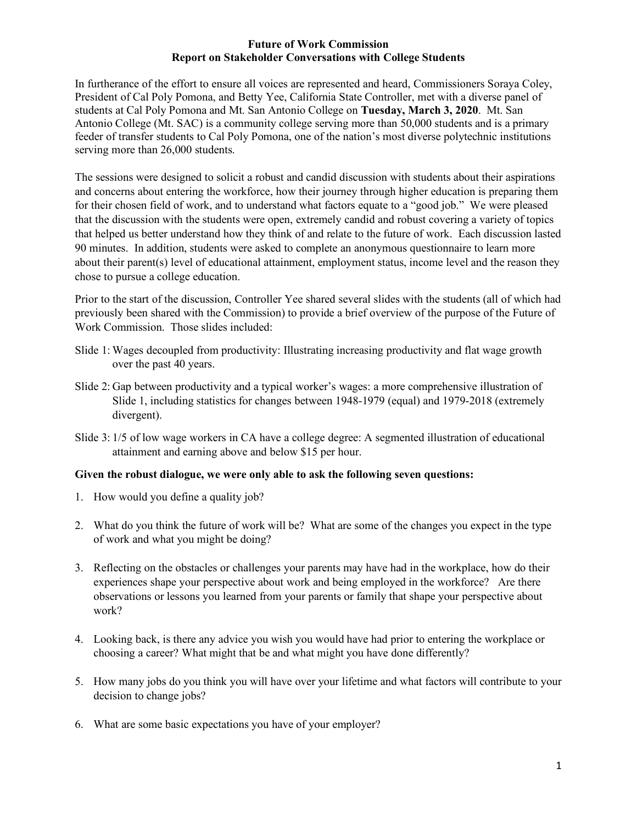#### **Future of Work Commission Report on Stakeholder Conversations with College Students**

In furtherance of the effort to ensure all voices are represented and heard, Commissioners Soraya Coley, President of Cal Poly Pomona, and Betty Yee, California State Controller, met with a diverse panel of students at Cal Poly Pomona and Mt. San Antonio College on **Tuesday, March 3, 2020**. Mt. San Antonio College (Mt. SAC) is a community college serving more than 50,000 students and is a primary feeder of transfer students to Cal Poly Pomona, one of the nation's most diverse polytechnic institutions serving more than 26,000 students.

The sessions were designed to solicit a robust and candid discussion with students about their aspirations and concerns about entering the workforce, how their journey through higher education is preparing them for their chosen field of work, and to understand what factors equate to a "good job." We were pleased that the discussion with the students were open, extremely candid and robust covering a variety of topics that helped us better understand how they think of and relate to the future of work. Each discussion lasted 90 minutes. In addition, students were asked to complete an anonymous questionnaire to learn more about their parent(s) level of educational attainment, employment status, income level and the reason they chose to pursue a college education.

Prior to the start of the discussion, Controller Yee shared several slides with the students (all of which had previously been shared with the Commission) to provide a brief overview of the purpose of the Future of Work Commission. Those slides included:

- Slide 1: Wages decoupled from productivity: Illustrating increasing productivity and flat wage growth over the past 40 years.
- Slide 2: Gap between productivity and a typical worker's wages: a more comprehensive illustration of Slide 1, including statistics for changes between 1948-1979 (equal) and 1979-2018 (extremely divergent).
- Slide 3: 1/5 of low wage workers in CA have a college degree: A segmented illustration of educational attainment and earning above and below \$15 per hour.

## **Given the robust dialogue, we were only able to ask the following seven questions:**

- 1. How would you define a quality job?
- 2. What do you think the future of work will be? What are some of the changes you expect in the type of work and what you might be doing?
- 3. Reflecting on the obstacles or challenges your parents may have had in the workplace, how do their experiences shape your perspective about work and being employed in the workforce? Are there observations or lessons you learned from your parents or family that shape your perspective about work?
- 4. Looking back, is there any advice you wish you would have had prior to entering the workplace or choosing a career? What might that be and what might you have done differently?
- 5. How many jobs do you think you will have over your lifetime and what factors will contribute to your decision to change jobs?
- 6. What are some basic expectations you have of your employer?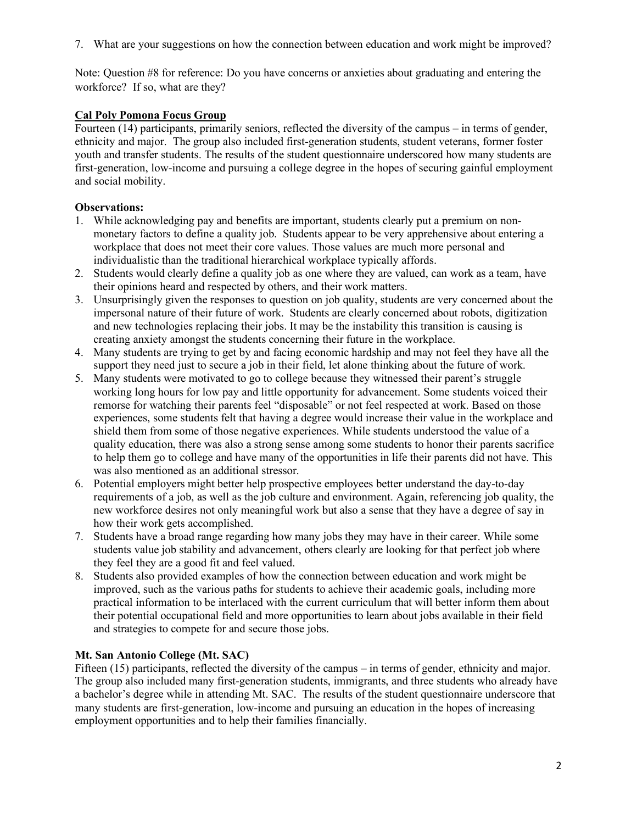7. What are your suggestions on how the connection between education and work might be improved?

Note: Question #8 for reference: Do you have concerns or anxieties about graduating and entering the workforce? If so, what are they?

# **Cal Poly Pomona Focus Group**

Fourteen (14) participants, primarily seniors, reflected the diversity of the campus – in terms of gender, ethnicity and major. The group also included first-generation students, student veterans, former foster youth and transfer students. The results of the student questionnaire underscored how many students are first-generation, low-income and pursuing a college degree in the hopes of securing gainful employment and social mobility.

## **Observations:**

- 1. While acknowledging pay and benefits are important, students clearly put a premium on nonmonetary factors to define a quality job. Students appear to be very apprehensive about entering a workplace that does not meet their core values. Those values are much more personal and individualistic than the traditional hierarchical workplace typically affords.
- 2. Students would clearly define a quality job as one where they are valued, can work as a team, have their opinions heard and respected by others, and their work matters.
- 3. Unsurprisingly given the responses to question on job quality, students are very concerned about the impersonal nature of their future of work. Students are clearly concerned about robots, digitization and new technologies replacing their jobs. It may be the instability this transition is causing is creating anxiety amongst the students concerning their future in the workplace.
- 4. Many students are trying to get by and facing economic hardship and may not feel they have all the support they need just to secure a job in their field, let alone thinking about the future of work.
- 5. Many students were motivated to go to college because they witnessed their parent's struggle working long hours for low pay and little opportunity for advancement. Some students voiced their remorse for watching their parents feel "disposable" or not feel respected at work. Based on those experiences, some students felt that having a degree would increase their value in the workplace and shield them from some of those negative experiences. While students understood the value of a quality education, there was also a strong sense among some students to honor their parents sacrifice to help them go to college and have many of the opportunities in life their parents did not have. This was also mentioned as an additional stressor.
- 6. Potential employers might better help prospective employees better understand the day-to-day requirements of a job, as well as the job culture and environment. Again, referencing job quality, the new workforce desires not only meaningful work but also a sense that they have a degree of say in how their work gets accomplished.
- 7. Students have a broad range regarding how many jobs they may have in their career. While some students value job stability and advancement, others clearly are looking for that perfect job where they feel they are a good fit and feel valued.
- 8. Students also provided examples of how the connection between education and work might be improved, such as the various paths for students to achieve their academic goals, including more practical information to be interlaced with the current curriculum that will better inform them about their potential occupational field and more opportunities to learn about jobs available in their field and strategies to compete for and secure those jobs.

# **Mt. San Antonio College (Mt. SAC)**

Fifteen (15) participants, reflected the diversity of the campus – in terms of gender, ethnicity and major. The group also included many first-generation students, immigrants, and three students who already have a bachelor's degree while in attending Mt. SAC. The results of the student questionnaire underscore that many students are first-generation, low-income and pursuing an education in the hopes of increasing employment opportunities and to help their families financially.